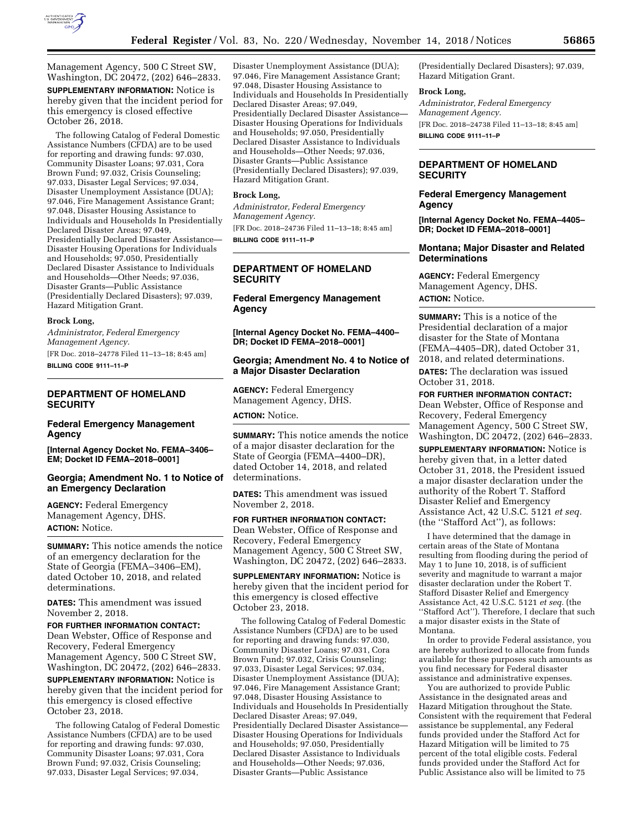

Management Agency, 500 C Street SW, Washington, DC 20472, (202) 646–2833. **SUPPLEMENTARY INFORMATION:** Notice is hereby given that the incident period for this emergency is closed effective October 26, 2018.

The following Catalog of Federal Domestic Assistance Numbers (CFDA) are to be used for reporting and drawing funds: 97.030, Community Disaster Loans; 97.031, Cora Brown Fund; 97.032, Crisis Counseling; 97.033, Disaster Legal Services; 97.034, Disaster Unemployment Assistance (DUA); 97.046, Fire Management Assistance Grant; 97.048, Disaster Housing Assistance to Individuals and Households In Presidentially Declared Disaster Areas; 97.049, Presidentially Declared Disaster Assistance— Disaster Housing Operations for Individuals and Households; 97.050, Presidentially Declared Disaster Assistance to Individuals and Households—Other Needs; 97.036, Disaster Grants—Public Assistance (Presidentially Declared Disasters); 97.039, Hazard Mitigation Grant.

#### **Brock Long,**

*Administrator, Federal Emergency Management Agency.*  [FR Doc. 2018–24778 Filed 11–13–18; 8:45 am]

**BILLING CODE 9111–11–P** 

# **DEPARTMENT OF HOMELAND SECURITY**

### **Federal Emergency Management Agency**

**[Internal Agency Docket No. FEMA–3406– EM; Docket ID FEMA–2018–0001]** 

# **Georgia; Amendment No. 1 to Notice of an Emergency Declaration**

**AGENCY:** Federal Emergency Management Agency, DHS. **ACTION:** Notice.

**SUMMARY:** This notice amends the notice of an emergency declaration for the State of Georgia (FEMA–3406–EM), dated October 10, 2018, and related determinations.

**DATES:** This amendment was issued November 2, 2018.

**FOR FURTHER INFORMATION CONTACT:**  Dean Webster, Office of Response and Recovery, Federal Emergency Management Agency, 500 C Street SW, Washington, DC 20472, (202) 646–2833.

**SUPPLEMENTARY INFORMATION:** Notice is hereby given that the incident period for this emergency is closed effective October 23, 2018.

The following Catalog of Federal Domestic Assistance Numbers (CFDA) are to be used for reporting and drawing funds: 97.030, Community Disaster Loans; 97.031, Cora Brown Fund; 97.032, Crisis Counseling; 97.033, Disaster Legal Services; 97.034,

Disaster Unemployment Assistance (DUA); 97.046, Fire Management Assistance Grant; 97.048, Disaster Housing Assistance to Individuals and Households In Presidentially Declared Disaster Areas; 97.049, Presidentially Declared Disaster Assistance— Disaster Housing Operations for Individuals and Households; 97.050, Presidentially Declared Disaster Assistance to Individuals and Households—Other Needs; 97.036, Disaster Grants—Public Assistance (Presidentially Declared Disasters); 97.039, Hazard Mitigation Grant.

### **Brock Long,**

*Administrator, Federal Emergency Management Agency.*  [FR Doc. 2018–24736 Filed 11–13–18; 8:45 am] **BILLING CODE 9111–11–P** 

### **DEPARTMENT OF HOMELAND SECURITY**

**Federal Emergency Management Agency** 

**[Internal Agency Docket No. FEMA–4400– DR; Docket ID FEMA–2018–0001]** 

### **Georgia; Amendment No. 4 to Notice of a Major Disaster Declaration**

**AGENCY:** Federal Emergency Management Agency, DHS.

**ACTION:** Notice.

**SUMMARY:** This notice amends the notice of a major disaster declaration for the State of Georgia (FEMA–4400–DR), dated October 14, 2018, and related determinations.

**DATES:** This amendment was issued November 2, 2018.

**FOR FURTHER INFORMATION CONTACT:**  Dean Webster, Office of Response and Recovery, Federal Emergency Management Agency, 500 C Street SW, Washington, DC 20472, (202) 646–2833.

**SUPPLEMENTARY INFORMATION:** Notice is hereby given that the incident period for this emergency is closed effective October 23, 2018.

The following Catalog of Federal Domestic Assistance Numbers (CFDA) are to be used for reporting and drawing funds: 97.030, Community Disaster Loans; 97.031, Cora Brown Fund; 97.032, Crisis Counseling; 97.033, Disaster Legal Services; 97.034, Disaster Unemployment Assistance (DUA); 97.046, Fire Management Assistance Grant; 97.048, Disaster Housing Assistance to Individuals and Households In Presidentially Declared Disaster Areas; 97.049, Presidentially Declared Disaster Assistance— Disaster Housing Operations for Individuals and Households; 97.050, Presidentially Declared Disaster Assistance to Individuals and Households—Other Needs; 97.036, Disaster Grants—Public Assistance

(Presidentially Declared Disasters); 97.039, Hazard Mitigation Grant.

#### **Brock Long,**

*Administrator, Federal Emergency Management Agency.*  [FR Doc. 2018–24738 Filed 11–13–18; 8:45 am] **BILLING CODE 9111–11–P** 

### **DEPARTMENT OF HOMELAND SECURITY**

### **Federal Emergency Management Agency**

**[Internal Agency Docket No. FEMA–4405– DR; Docket ID FEMA–2018–0001]** 

### **Montana; Major Disaster and Related Determinations**

**AGENCY:** Federal Emergency Management Agency, DHS. **ACTION:** Notice.

**SUMMARY:** This is a notice of the Presidential declaration of a major disaster for the State of Montana (FEMA–4405–DR), dated October 31, 2018, and related determinations.

**DATES:** The declaration was issued October 31, 2018.

# **FOR FURTHER INFORMATION CONTACT:**

Dean Webster, Office of Response and Recovery, Federal Emergency Management Agency, 500 C Street SW, Washington, DC 20472, (202) 646–2833.

**SUPPLEMENTARY INFORMATION:** Notice is hereby given that, in a letter dated October 31, 2018, the President issued a major disaster declaration under the authority of the Robert T. Stafford Disaster Relief and Emergency Assistance Act, 42 U.S.C. 5121 *et seq.*  (the ''Stafford Act''), as follows:

I have determined that the damage in certain areas of the State of Montana resulting from flooding during the period of May 1 to June 10, 2018, is of sufficient severity and magnitude to warrant a major disaster declaration under the Robert T. Stafford Disaster Relief and Emergency Assistance Act, 42 U.S.C. 5121 *et seq.* (the "Stafford Act"). Therefore, I declare that such a major disaster exists in the State of Montana.

In order to provide Federal assistance, you are hereby authorized to allocate from funds available for these purposes such amounts as you find necessary for Federal disaster assistance and administrative expenses.

You are authorized to provide Public Assistance in the designated areas and Hazard Mitigation throughout the State. Consistent with the requirement that Federal assistance be supplemental, any Federal funds provided under the Stafford Act for Hazard Mitigation will be limited to 75 percent of the total eligible costs. Federal funds provided under the Stafford Act for Public Assistance also will be limited to 75